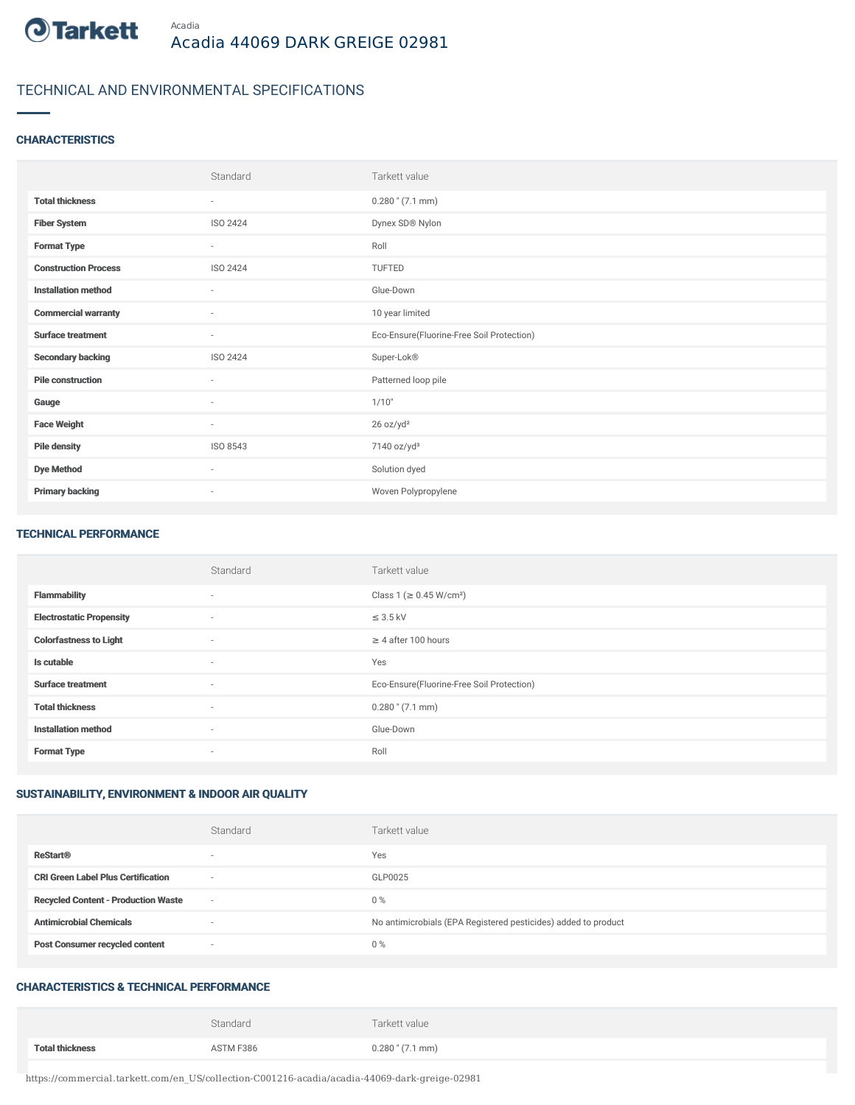

# TECHNICAL AND ENVIRONMENTAL SPECIFICATIONS

#### **CHARACTERISTICS**

|                             | Standard        | Tarkett value                             |
|-----------------------------|-----------------|-------------------------------------------|
| <b>Total thickness</b>      | $\sim$          | $0.280$ " $(7.1$ mm)                      |
| <b>Fiber System</b>         | ISO 2424        | Dynex SD® Nylon                           |
| <b>Format Type</b>          | $\sim$          | Roll                                      |
| <b>Construction Process</b> | <b>ISO 2424</b> | TUFTED                                    |
| <b>Installation method</b>  | $\sim$          | Glue-Down                                 |
| <b>Commercial warranty</b>  | $\sim$          | 10 year limited                           |
| <b>Surface treatment</b>    | $\sim$          | Eco-Ensure(Fluorine-Free Soil Protection) |
| <b>Secondary backing</b>    | ISO 2424        | Super-Lok®                                |
| <b>Pile construction</b>    | $\sim$          | Patterned loop pile                       |
| Gauge                       | $\sim$          | 1/10"                                     |
| <b>Face Weight</b>          | $\sim$          | 26 oz/yd <sup>2</sup>                     |
| <b>Pile density</b>         | ISO 8543        | 7140 oz/yd <sup>3</sup>                   |
| <b>Dye Method</b>           | $\sim$          | Solution dyed                             |
| <b>Primary backing</b>      | ٠               | Woven Polypropylene                       |

#### TECHNICAL PERFORMANCE

|                                 | Standard                 | Tarkett value                             |
|---------------------------------|--------------------------|-------------------------------------------|
| <b>Flammability</b>             | $\sim$                   | Class 1 ( $\geq$ 0.45 W/cm <sup>2</sup> ) |
| <b>Electrostatic Propensity</b> | $\sim$                   | $\leq$ 3.5 kV                             |
| <b>Colorfastness to Light</b>   | $\sim$                   | $\geq 4$ after 100 hours                  |
| Is cutable                      | $\sim$                   | Yes                                       |
| <b>Surface treatment</b>        | $\sim$                   | Eco-Ensure(Fluorine-Free Soil Protection) |
| <b>Total thickness</b>          | $\sim$                   | $0.280$ " (7.1 mm)                        |
| <b>Installation method</b>      | $\sim$                   | Glue-Down                                 |
| <b>Format Type</b>              | $\overline{\phantom{a}}$ | Roll                                      |

### SUSTAINABILITY, ENVIRONMENT & INDOOR AIR QUALITY

|                                            | Standard | Tarkett value                                                  |
|--------------------------------------------|----------|----------------------------------------------------------------|
| <b>ReStart®</b>                            |          | Yes                                                            |
| <b>CRI Green Label Plus Certification</b>  | $\sim$   | GLP0025                                                        |
| <b>Recycled Content - Production Waste</b> | $\sim$   | 0%                                                             |
| <b>Antimicrobial Chemicals</b>             |          | No antimicrobials (EPA Registered pesticides) added to product |
| <b>Post Consumer recycled content</b>      | $\sim$   | 0%                                                             |

## CHARACTERISTICS & TECHNICAL PERFORMANCE

|                        | Standard  | Tarkett value        |
|------------------------|-----------|----------------------|
| <b>Total thickness</b> | ASTM F386 | $0.280$ " $(7.1$ mm) |